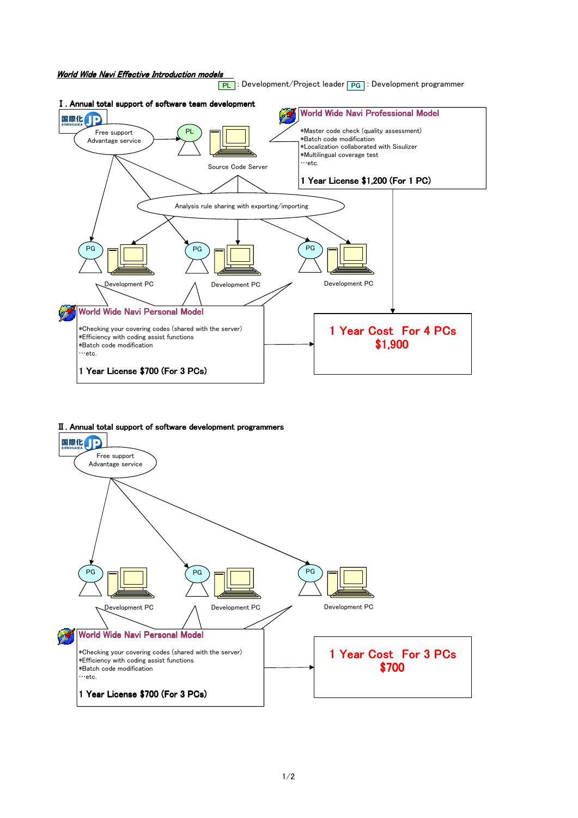

## Ⅱ. Annual total support of software development programmers